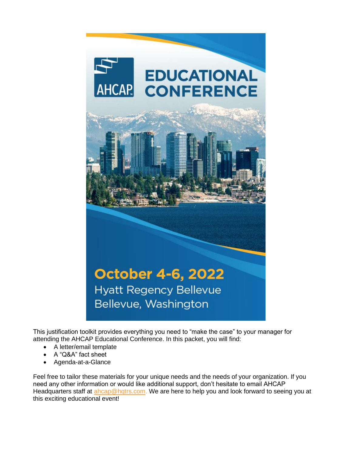

This justification toolkit provides everything you need to "make the case" to your manager for attending the AHCAP Educational Conference. In this packet, you will find:

- A letter/email template
- A "Q&A" fact sheet
- Agenda-at-a-Glance

Feel free to tailor these materials for your unique needs and the needs of your organization. If you need any other information or would like additional support, don't hesitate to email AHCAP Headquarters staff at [ahcap@hqtrs.com.](mailto:ahcap@hqtrs.com) We are here to help you and look forward to seeing you at this exciting educational event!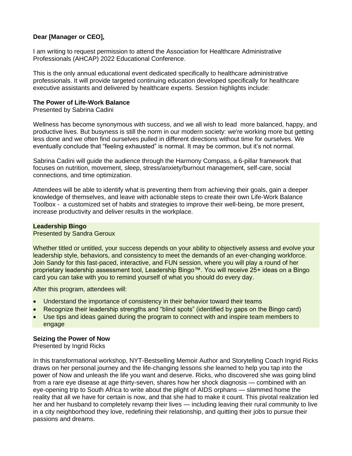### **Dear [Manager or CEO],**

I am writing to request permission to attend the Association for Healthcare Administrative Professionals (AHCAP) 2022 Educational Conference.

This is the only annual educational event dedicated specifically to healthcare administrative professionals. It will provide targeted continuing education developed specifically for healthcare executive assistants and delivered by healthcare experts. Session highlights include:

#### **The Power of Life-Work Balance**

Presented by Sabrina Cadini

Wellness has become synonymous with success, and we all wish to lead more balanced, happy, and productive lives. But busyness is still the norm in our modern society: we're working more but getting less done and we often find ourselves pulled in different directions without time for ourselves. We eventually conclude that "feeling exhausted" is normal. It may be common, but it's not normal.

Sabrina Cadini will guide the audience through the Harmony Compass, a 6-pillar framework that focuses on nutrition, movement, sleep, stress/anxiety/burnout management, self-care, social connections, and time optimization.

Attendees will be able to identify what is preventing them from achieving their goals, gain a deeper knowledge of themselves, and leave with actionable steps to create their own Life-Work Balance Toolbox - a customized set of habits and strategies to improve their well-being, be more present, increase productivity and deliver results in the workplace.

#### **Leadership Bingo**

#### Presented by Sandra Geroux

Whether titled or untitled, your success depends on your ability to objectively assess and evolve your leadership style, behaviors, and consistency to meet the demands of an ever-changing workforce. Join Sandy for this fast-paced, interactive, and FUN session, where you will play a round of her proprietary leadership assessment tool, Leadership Bingo™. You will receive 25+ ideas on a Bingo card you can take with you to remind yourself of what you should do every day.

After this program, attendees will:

- Understand the importance of consistency in their behavior toward their teams
- Recognize their leadership strengths and "blind spots" (identified by gaps on the Bingo card)
- Use tips and ideas gained during the program to connect with and inspire team members to engage

#### **Seizing the Power of Now**

Presented by Ingrid Ricks

In this transformational workshop, NYT-Bestselling Memoir Author and Storytelling Coach Ingrid Ricks draws on her personal journey and the life-changing lessons she learned to help you tap into the power of Now and unleash the life you want and deserve. Ricks, who discovered she was going blind from a rare eye disease at age thirty-seven, shares how her shock diagnosis — combined with an eye-opening trip to South Africa to write about the plight of AIDS orphans — slammed home the reality that all we have for certain is now, and that she had to make it count. This pivotal realization led her and her husband to completely revamp their lives — including leaving their rural community to live in a city neighborhood they love, redefining their relationship, and quitting their jobs to pursue their passions and dreams.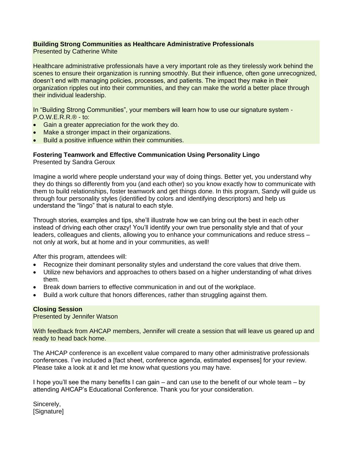## **Building Strong Communities as Healthcare Administrative Professionals**

Presented by Catherine White

Healthcare administrative professionals have a very important role as they tirelessly work behind the scenes to ensure their organization is running smoothly. But their influence, often gone unrecognized, doesn't end with managing policies, processes, and patients. The impact they make in their organization ripples out into their communities, and they can make the world a better place through their individual leadership.

In "Building Strong Communities", your members will learn how to use our signature system - P.O.W.E.R.R.® - to:

- Gain a greater appreciation for the work they do.
- Make a stronger impact in their organizations.
- Build a positive influence within their communities.

### **Fostering Teamwork and Effective Communication Using Personality Lingo**

Presented by Sandra Geroux

Imagine a world where people understand your way of doing things. Better yet, you understand why they do things so differently from you (and each other) so you know exactly how to communicate with them to build relationships, foster teamwork and get things done. In this program, Sandy will guide us through four personality styles (identified by colors and identifying descriptors) and help us understand the "lingo" that is natural to each style.

Through stories, examples and tips, she'll illustrate how we can bring out the best in each other instead of driving each other crazy! You'll identify your own true personality style and that of your leaders, colleagues and clients, allowing you to enhance your communications and reduce stress – not only at work, but at home and in your communities, as well!

After this program, attendees will:

- Recognize their dominant personality styles and understand the core values that drive them.
- Utilize new behaviors and approaches to others based on a higher understanding of what drives them.
- Break down barriers to effective communication in and out of the workplace.
- Build a work culture that honors differences, rather than struggling against them.

#### **Closing Session**

Presented by Jennifer Watson

With feedback from AHCAP members, Jennifer will create a session that will leave us geared up and ready to head back home.

The AHCAP conference is an excellent value compared to many other administrative professionals conferences. I've included a [fact sheet, conference agenda, estimated expenses] for your review. Please take a look at it and let me know what questions you may have.

I hope you'll see the many benefits I can gain – and can use to the benefit of our whole team – by attending AHCAP's Educational Conference. Thank you for your consideration.

Sincerely, [Signature]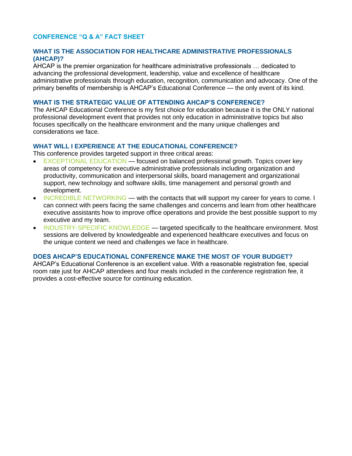### **CONFERENCE "Q & A" FACT SHEET**

### **WHAT IS THE ASSOCIATION FOR HEALTHCARE ADMINISTRATIVE PROFESSIONALS (AHCAP)?**

AHCAP is the premier organization for healthcare administrative professionals … dedicated to advancing the professional development, leadership, value and excellence of healthcare administrative professionals through education, recognition, communication and advocacy. One of the primary benefits of membership is AHCAP's Educational Conference — the only event of its kind.

#### **WHAT IS THE STRATEGIC VALUE OF ATTENDING AHCAP'S CONFERENCE?**

The AHCAP Educational Conference is my first choice for education because it is the ONLY national professional development event that provides not only education in administrative topics but also focuses specifically on the healthcare environment and the many unique challenges and considerations we face.

### **WHAT WILL I EXPERIENCE AT THE EDUCATIONAL CONFERENCE?**

This conference provides targeted support in three critical areas:

- EXCEPTIONAL EDUCATION focused on balanced professional growth. Topics cover key areas of competency for executive administrative professionals including organization and productivity, communication and interpersonal skills, board management and organizational support, new technology and software skills, time management and personal growth and development.
- INCREDIBLE NETWORKING with the contacts that will support my career for years to come. I can connect with peers facing the same challenges and concerns and learn from other healthcare executive assistants how to improve office operations and provide the best possible support to my executive and my team.
- INDUSTRY-SPECIFIC KNOWLEDGE targeted specifically to the healthcare environment. Most sessions are delivered by knowledgeable and experienced healthcare executives and focus on the unique content we need and challenges we face in healthcare.

### **DOES AHCAP'S EDUCATIONAL CONFERENCE MAKE THE MOST OF YOUR BUDGET?**

AHCAP's Educational Conference is an excellent value. With a reasonable registration fee, special room rate just for AHCAP attendees and four meals included in the conference registration fee, it provides a cost-effective source for continuing education.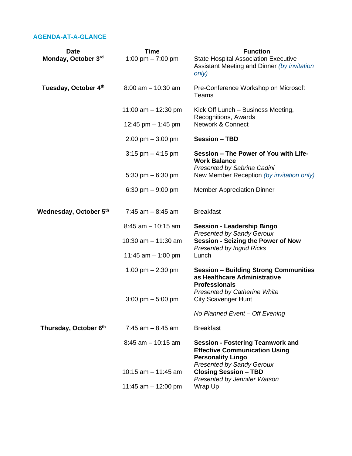# **AGENDA-AT-A-GLANCE**

| <b>Date</b>            | <b>Time</b>                         | <b>Function</b>                                                                                                                                 |
|------------------------|-------------------------------------|-------------------------------------------------------------------------------------------------------------------------------------------------|
| Monday, October 3rd    | 1:00 pm $- 7:00$ pm                 | <b>State Hospital Association Executive</b><br>Assistant Meeting and Dinner (by invitation<br>only)                                             |
| Tuesday, October 4th   | $8:00$ am $-10:30$ am               | Pre-Conference Workshop on Microsoft<br>Teams                                                                                                   |
|                        | 11:00 am $-$ 12:30 pm               | Kick Off Lunch – Business Meeting,<br>Recognitions, Awards                                                                                      |
|                        | 12:45 pm $-$ 1:45 pm                | <b>Network &amp; Connect</b>                                                                                                                    |
|                        | $2:00 \text{ pm} - 3:00 \text{ pm}$ | <b>Session - TBD</b>                                                                                                                            |
|                        | $3:15$ pm $-4:15$ pm                | Session - The Power of You with Life-<br><b>Work Balance</b><br>Presented by Sabrina Cadini                                                     |
|                        | 5:30 pm $-6:30$ pm                  | New Member Reception (by invitation only)                                                                                                       |
|                        | 6:30 pm $-9:00$ pm                  | <b>Member Appreciation Dinner</b>                                                                                                               |
| Wednesday, October 5th | $7:45$ am $-8:45$ am                | <b>Breakfast</b>                                                                                                                                |
|                        | $8:45$ am $-10:15$ am               | <b>Session - Leadership Bingo</b><br><b>Presented by Sandy Geroux</b>                                                                           |
|                        | 10:30 $am - 11:30 am$               | <b>Session - Seizing the Power of Now</b>                                                                                                       |
|                        | 11:45 am $-$ 1:00 pm                | <b>Presented by Ingrid Ricks</b><br>Lunch                                                                                                       |
|                        | 1:00 pm $- 2:30$ pm                 | <b>Session - Building Strong Communities</b><br>as Healthcare Administrative<br><b>Professionals</b>                                            |
|                        | $3:00 \text{ pm} - 5:00 \text{ pm}$ | <b>Presented by Catherine White</b><br><b>City Scavenger Hunt</b>                                                                               |
|                        |                                     | No Planned Event - Off Evening                                                                                                                  |
| Thursday, October 6th  | $7:45$ am $-8:45$ am                | <b>Breakfast</b>                                                                                                                                |
|                        | $8:45$ am $-10:15$ am               | <b>Session - Fostering Teamwork and</b><br><b>Effective Communication Using</b><br><b>Personality Lingo</b><br><b>Presented by Sandy Geroux</b> |
|                        | 10:15 $am - 11:45 am$               | <b>Closing Session - TBD</b><br>Presented by Jennifer Watson                                                                                    |
|                        | 11:45 am $-$ 12:00 pm               | Wrap Up                                                                                                                                         |